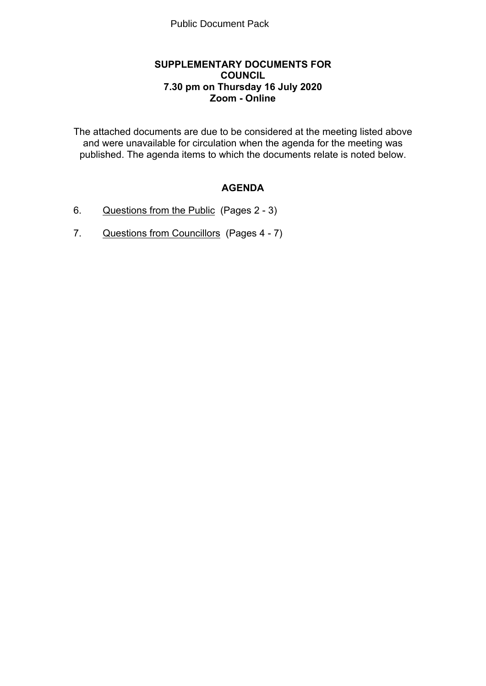### **SUPPLEMENTARY DOCUMENTS FOR COUNCIL 7.30 pm on Thursday 16 July 2020 Zoom - Online**

The attached documents are due to be considered at the meeting listed above and were unavailable for circulation when the agenda for the meeting was published. The agenda items to which the documents relate is noted below.

# **AGENDA**

- 6. Questions from the Public(Pages 2 3)
- 7. Questions from Councillors(Pages 4 7)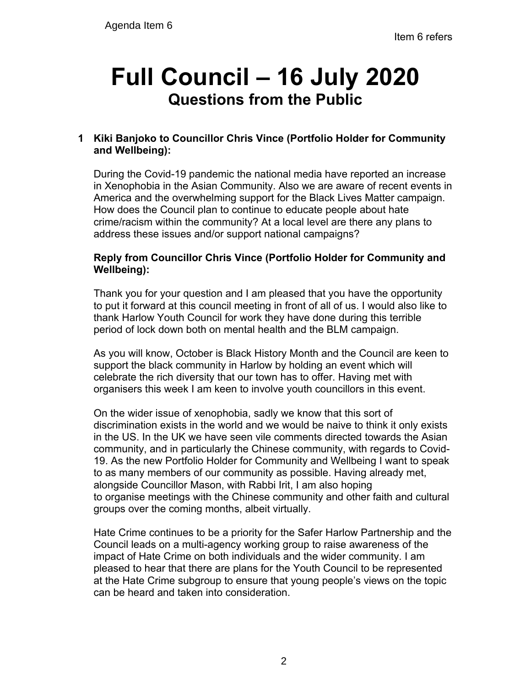# **Full Council – 16 July 2020 Questions from the Public**

# **1 Kiki Banjoko to Councillor Chris Vince (Portfolio Holder for Community and Wellbeing):**

During the Covid-19 pandemic the national media have reported an increase in Xenophobia in the Asian Community. Also we are aware of recent events in America and the overwhelming support for the Black Lives Matter campaign. How does the Council plan to continue to educate people about hate crime/racism within the community? At a local level are there any plans to address these issues and/or support national campaigns?

## **Reply from Councillor Chris Vince (Portfolio Holder for Community and Wellbeing):**

Thank you for your question and I am pleased that you have the opportunity to put it forward at this council meeting in front of all of us. I would also like to thank Harlow Youth Council for work they have done during this terrible period of lock down both on mental health and the BLM campaign.

As you will know, October is Black History Month and the Council are keen to support the black community in Harlow by holding an event which will celebrate the rich diversity that our town has to offer. Having met with organisers this week I am keen to involve youth councillors in this event.

On the wider issue of xenophobia, sadly we know that this sort of discrimination exists in the world and we would be naive to think it only exists in the US. In the UK we have seen vile comments directed towards the Asian community, and in particularly the Chinese community, with regards to Covid-19. As the new Portfolio Holder for Community and Wellbeing I want to speak to as many members of our community as possible. Having already met, alongside Councillor Mason, with Rabbi Irit, I am also hoping to organise meetings with the Chinese community and other faith and cultural groups over the coming months, albeit virtually.

Hate Crime continues to be a priority for the Safer Harlow Partnership and the Council leads on a multi-agency working group to raise awareness of the impact of Hate Crime on both individuals and the wider community. I am pleased to hear that there are plans for the Youth Council to be represented at the Hate Crime subgroup to ensure that young people's views on the topic can be heard and taken into consideration.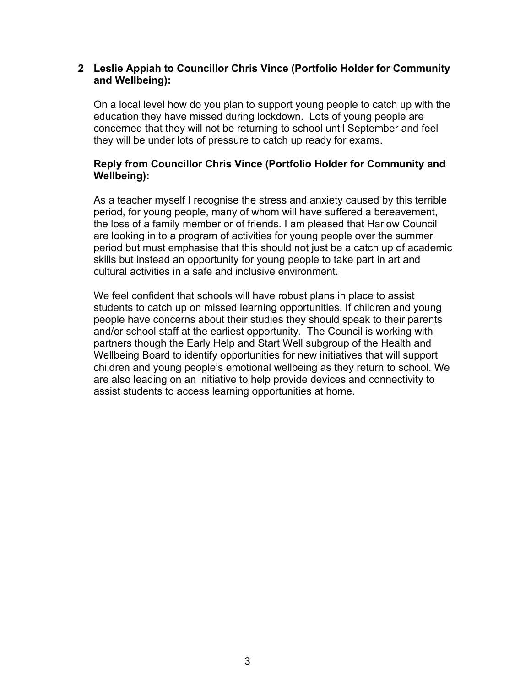#### **2 Leslie Appiah to Councillor Chris Vince (Portfolio Holder for Community and Wellbeing):**

On a local level how do you plan to support young people to catch up with the education they have missed during lockdown. Lots of young people are concerned that they will not be returning to school until September and feel they will be under lots of pressure to catch up ready for exams.

## **Reply from Councillor Chris Vince (Portfolio Holder for Community and Wellbeing):**

As a teacher myself I recognise the stress and anxiety caused by this terrible period, for young people, many of whom will have suffered a bereavement, the loss of a family member or of friends. I am pleased that Harlow Council are looking in to a program of activities for young people over the summer period but must emphasise that this should not just be a catch up of academic skills but instead an opportunity for young people to take part in art and cultural activities in a safe and inclusive environment.

We feel confident that schools will have robust plans in place to assist students to catch up on missed learning opportunities. If children and young people have concerns about their studies they should speak to their parents and/or school staff at the earliest opportunity. The Council is working with partners though the Early Help and Start Well subgroup of the Health and Wellbeing Board to identify opportunities for new initiatives that will support children and young people's emotional wellbeing as they return to school. We are also leading on an initiative to help provide devices and connectivity to assist students to access learning opportunities at home.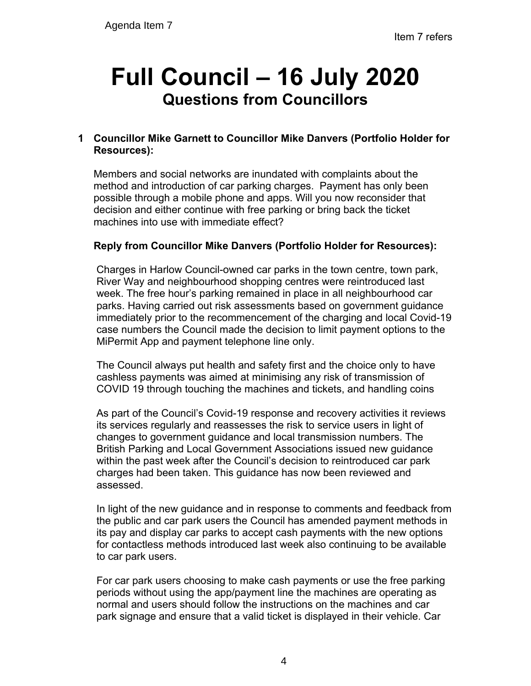# **Full Council – 16 July 2020 Questions from Councillors**

# **1 Councillor Mike Garnett to Councillor Mike Danvers (Portfolio Holder for Resources):**

Members and social networks are inundated with complaints about the method and introduction of car parking charges. Payment has only been possible through a mobile phone and apps. Will you now reconsider that decision and either continue with free parking or bring back the ticket machines into use with immediate effect?

# **Reply from Councillor Mike Danvers (Portfolio Holder for Resources):**

Charges in Harlow Council-owned car parks in the town centre, town park, River Way and neighbourhood shopping centres were reintroduced last week. The free hour's parking remained in place in all neighbourhood car parks. Having carried out risk assessments based on government guidance immediately prior to the recommencement of the charging and local Covid-19 case numbers the Council made the decision to limit payment options to the MiPermit App and payment telephone line only.

The Council always put health and safety first and the choice only to have cashless payments was aimed at minimising any risk of transmission of COVID 19 through touching the machines and tickets, and handling coins

As part of the Council's Covid-19 response and recovery activities it reviews its services regularly and reassesses the risk to service users in light of changes to government guidance and local transmission numbers. The British Parking and Local Government Associations issued new guidance within the past week after the Council's decision to reintroduced car park charges had been taken. This guidance has now been reviewed and assessed.

In light of the new guidance and in response to comments and feedback from the public and car park users the Council has amended payment methods in its pay and display car parks to accept cash payments with the new options for contactless methods introduced last week also continuing to be available to car park users.

For car park users choosing to make cash payments or use the free parking periods without using the app/payment line the machines are operating as normal and users should follow the instructions on the machines and car park signage and ensure that a valid ticket is displayed in their vehicle. Car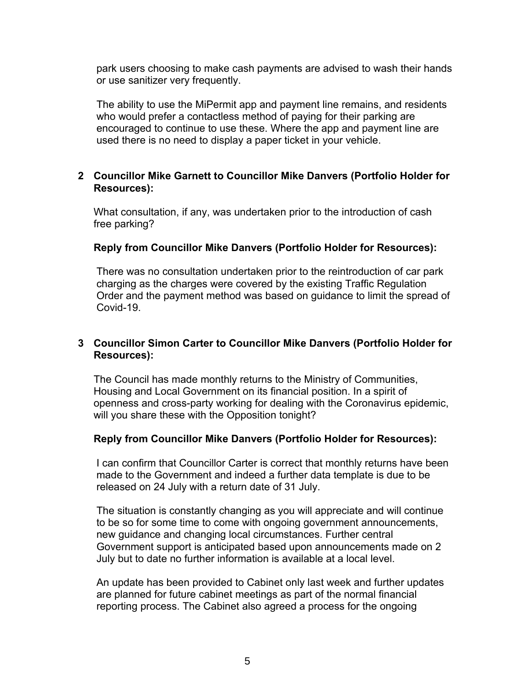park users choosing to make cash payments are advised to wash their hands or use sanitizer very frequently.

The ability to use the MiPermit app and payment line remains, and residents who would prefer a contactless method of paying for their parking are encouraged to continue to use these. Where the app and payment line are used there is no need to display a paper ticket in your vehicle.

#### **2 Councillor Mike Garnett to Councillor Mike Danvers (Portfolio Holder for Resources):**

What consultation, if any, was undertaken prior to the introduction of cash free parking?

### **Reply from Councillor Mike Danvers (Portfolio Holder for Resources):**

There was no consultation undertaken prior to the reintroduction of car park charging as the charges were covered by the existing Traffic Regulation Order and the payment method was based on guidance to limit the spread of Covid-19.

## **3 Councillor Simon Carter to Councillor Mike Danvers (Portfolio Holder for Resources):**

The Council has made monthly returns to the Ministry of Communities, Housing and Local Government on its financial position. In a spirit of openness and cross-party working for dealing with the Coronavirus epidemic, will you share these with the Opposition tonight?

### **Reply from Councillor Mike Danvers (Portfolio Holder for Resources):**

I can confirm that Councillor Carter is correct that monthly returns have been made to the Government and indeed a further data template is due to be released on 24 July with a return date of 31 July.

The situation is constantly changing as you will appreciate and will continue to be so for some time to come with ongoing government announcements, new guidance and changing local circumstances. Further central Government support is anticipated based upon announcements made on 2 July but to date no further information is available at a local level.

An update has been provided to Cabinet only last week and further updates are planned for future cabinet meetings as part of the normal financial reporting process. The Cabinet also agreed a process for the ongoing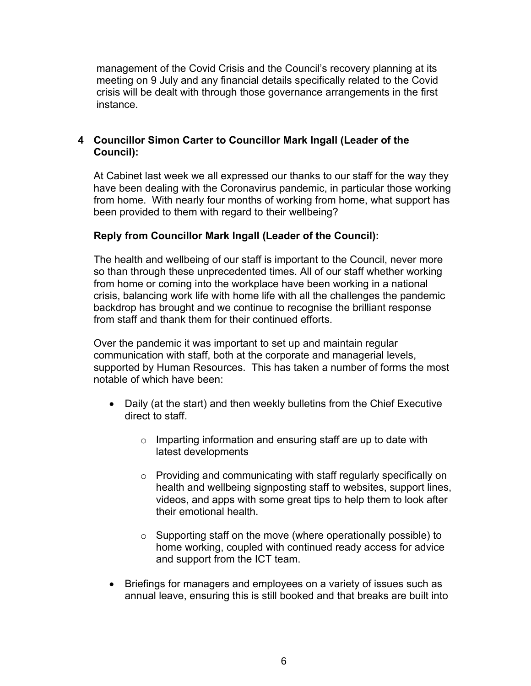management of the Covid Crisis and the Council's recovery planning at its meeting on 9 July and any financial details specifically related to the Covid crisis will be dealt with through those governance arrangements in the first instance.

## **4 Councillor Simon Carter to Councillor Mark Ingall (Leader of the Council):**

At Cabinet last week we all expressed our thanks to our staff for the way they have been dealing with the Coronavirus pandemic, in particular those working from home. With nearly four months of working from home, what support has been provided to them with regard to their wellbeing?

## **Reply from Councillor Mark Ingall (Leader of the Council):**

The health and wellbeing of our staff is important to the Council, never more so than through these unprecedented times. All of our staff whether working from home or coming into the workplace have been working in a national crisis, balancing work life with home life with all the challenges the pandemic backdrop has brought and we continue to recognise the brilliant response from staff and thank them for their continued efforts.

Over the pandemic it was important to set up and maintain regular communication with staff, both at the corporate and managerial levels, supported by Human Resources. This has taken a number of forms the most notable of which have been:

- Daily (at the start) and then weekly bulletins from the Chief Executive direct to staff.
	- $\circ$  Imparting information and ensuring staff are up to date with latest developments
	- o Providing and communicating with staff regularly specifically on health and wellbeing signposting staff to websites, support lines, videos, and apps with some great tips to help them to look after their emotional health.
	- o Supporting staff on the move (where operationally possible) to home working, coupled with continued ready access for advice and support from the ICT team.
- Briefings for managers and employees on a variety of issues such as annual leave, ensuring this is still booked and that breaks are built into